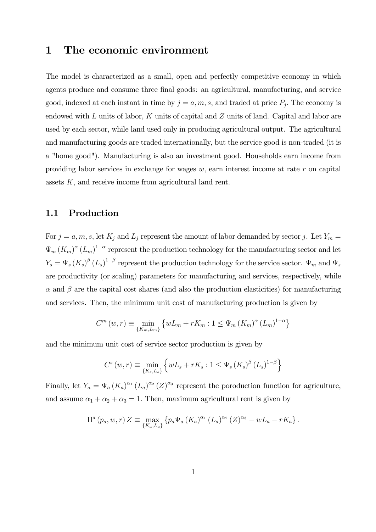## 1 The economic environment

The model is characterized as a small, open and perfectly competitive economy in which agents produce and consume three final goods: an agricultural, manufacturing, and service good, indexed at each instant in time by  $j = a, m, s$ , and traded at price  $P_j$ . The economy is endowed with  $L$  units of labor,  $K$  units of capital and  $Z$  units of land. Capital and labor are used by each sector, while land used only in producing agricultural output. The agricultural and manufacturing goods are traded internationally, but the service good is non-traded (it is a "home good"). Manufacturing is also an investment good. Households earn income from providing labor services in exchange for wages  $w$ , earn interest income at rate  $r$  on capital assets  $K$ , and receive income from agricultural land rent.

### 1.1 Production

For  $j = a, m, s$ , let  $K_j$  and  $L_j$  represent the amount of labor demanded by sector j. Let  $Y_m =$  $\Psi_m (K_m)^\alpha (L_m)^{1-\alpha}$  represent the production technology for the manufacturing sector and let  $Y_s = \Psi_s (K_s)^{\beta} (L_s)^{1-\beta}$  represent the production technology for the service sector.  $\Psi_m$  and  $\Psi_s$ are productivity (or scaling) parameters for manufacturing and services, respectively, while  $\alpha$  and  $\beta$  are the capital cost shares (and also the production elasticities) for manufacturing and services. Then, the minimum unit cost of manufacturing production is given by

$$
C^{m}(w,r) \equiv \min_{\{K_{m},L_{m}\}} \left\{ wL_{m} + rK_{m} : 1 \leq \Psi_{m} (K_{m})^{\alpha} (L_{m})^{1-\alpha} \right\}
$$

and the minimum unit cost of service sector production is given by

$$
C^{s}(w,r) \equiv \min_{\{K_s, L_s\}} \left\{ wL_s + rK_s : 1 \leq \Psi_s \left( K_s \right)^{\beta} \left( L_s \right)^{1-\beta} \right\}
$$

Finally, let  $Y_a = \Psi_a (K_a)^{\alpha_1} (L_a)^{\alpha_2} (Z)^{\alpha_3}$  represent the poroduction function for agriculture, and assume  $\alpha_1 + \alpha_2 + \alpha_3 = 1$ . Then, maximum agricultural rent is given by

$$
\Pi^{a}(p_{a}, w, r) Z \equiv \max_{\{K_{a}, L_{a}\}} \{p_{a} \Psi_{a} (K_{a})^{\alpha_{1}} (L_{a})^{\alpha_{2}} (Z)^{\alpha_{3}} - wL_{a} - rK_{a}\}.
$$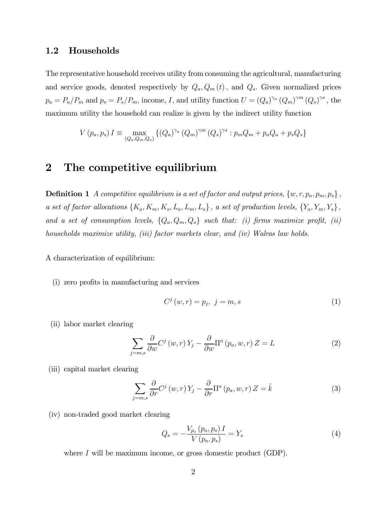#### 1.2 Households

The representative household receives utility from consuming the agricultural, manufacturing and service goods, denoted respectively by  $Q_a, Q_m(t)$ , and  $Q_s$ . Given normalized prices  $p_a = P_a/P_m$  and  $p_s = P_s/P_m$ , income, I, and utility function  $U = (Q_a)^{\gamma_a} (Q_m)^{\gamma m} (Q_s)^{\gamma s}$ , the maximum utility the household can realize is given by the indirect utility function

$$
V(p_a, p_s) I \equiv \max_{(Q_a, Q_m, Q_s)} \{ (Q_a)^{\gamma_a} (Q_m)^{\gamma m} (Q_s)^{\gamma s} : p_m Q_m + p_a Q_a + p_s Q_s \}
$$

## 2 The competitive equilibrium

**Definition 1** A competitive equilibrium is a set of factor and output prices,  $\{w, r, p_a, p_m, p_s\}$ , a set of factor allocations  $\{K_a, K_m, K_s, L_a, L_m, L_s\}$ , a set of production levels,  $\{Y_a, Y_m, Y_s\}$ , and a set of consumption levels,  $\{Q_a, Q_m, Q_s\}$  such that: (i) firms maximize profit, (ii) households maximize utility, (iii) factor markets clear, and (iv) Walras law holds.

A characterization of equilibrium:

(i) zero profits in manufacturing and services

$$
C^j(w,r) = p_j, \ j = m, s \tag{1}
$$

(ii) labor market clearing

$$
\sum_{j=m,s} \frac{\partial}{\partial w} C^j(w,r) Y_j - \frac{\partial}{\partial w} \Pi^a(p_a, w, r) Z = L \tag{2}
$$

(iii) capital market clearing

$$
\sum_{j=m,s} \frac{\partial}{\partial r} C^j(w,r) Y_j - \frac{\partial}{\partial r} \Pi^a(p_a, w, r) Z = \hat{k}
$$
\n(3)

(iv) non-traded good market clearing

$$
Q_s = -\frac{V_{p_s}(p_a, p_s) I}{V(p_a, p_s)} = Y_s
$$
\n(4)

where  $I$  will be maximum income, or gross domestic product (GDP).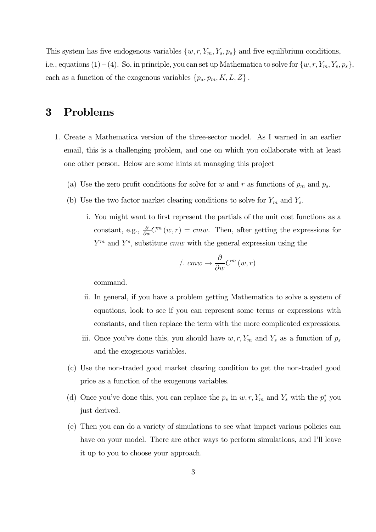This system has five endogenous variables  $\{w, r, Y_m, Y_s, p_s\}$  and five equilibrium conditions, i.e., equations  $(1) - (4)$ . So, in principle, you can set up Mathematica to solve for  $\{w, r, Y_m, Y_s, p_s\}$ , each as a function of the exogenous variables  $\{p_a, p_m, K, L, Z\}$ .

# 3 Problems

- 1. Create a Mathematica version of the three-sector model. As I warned in an earlier email, this is a challenging problem, and one on which you collaborate with at least one other person. Below are some hints at managing this project
	- (a) Use the zero profit conditions for solve for w and r as functions of  $p_m$  and  $p_s$ .
	- (b) Use the two factor market clearing conditions to solve for  $Y_m$  and  $Y_s$ .
		- i. You might want to first represent the partials of the unit cost functions as a constant, e.g.,  $\frac{\partial}{\partial w} C^m(w, r) = cmw$ . Then, after getting the expressions for  $Y^m$  and  $Y^s$ , substitute *cmw* with the general expression using the

$$
/.\;cmw \rightarrow \frac{\partial}{\partial w}C^m(w,r)
$$

command.

- ii. In general, if you have a problem getting Mathematica to solve a system of equations, look to see if you can represent some terms or expressions with constants, and then replace the term with the more complicated expressions.
- iii. Once you've done this, you should have  $w, r, Y_m$  and  $Y_s$  as a function of  $p_s$ and the exogenous variables.
- (c) Use the non-traded good market clearing condition to get the non-traded good price as a function of the exogenous variables.
- (d) Once you've done this, you can replace the  $p_s$  in  $w, r, Y_m$  and  $Y_s$  with the  $p_s^*$  you just derived.
- (e) Then you can do a variety of simulations to see what impact various policies can have on your model. There are other ways to perform simulations, and I'll leave it up to you to choose your approach.